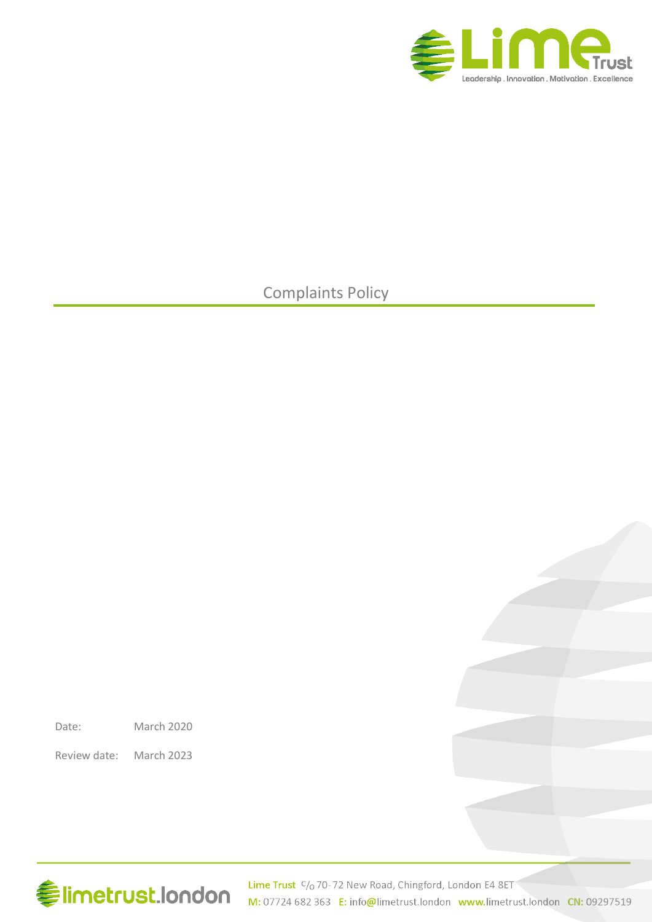

### Complaints Policy

Date: March 2020

Review date: March 2023

# **Elimetrust.london**

Lime Trust C/o 70-72 New Road, Chingford, London E4 8ET M: 07724 682 363 E: info@limetrust.london www.limetrust.london CN: 09297519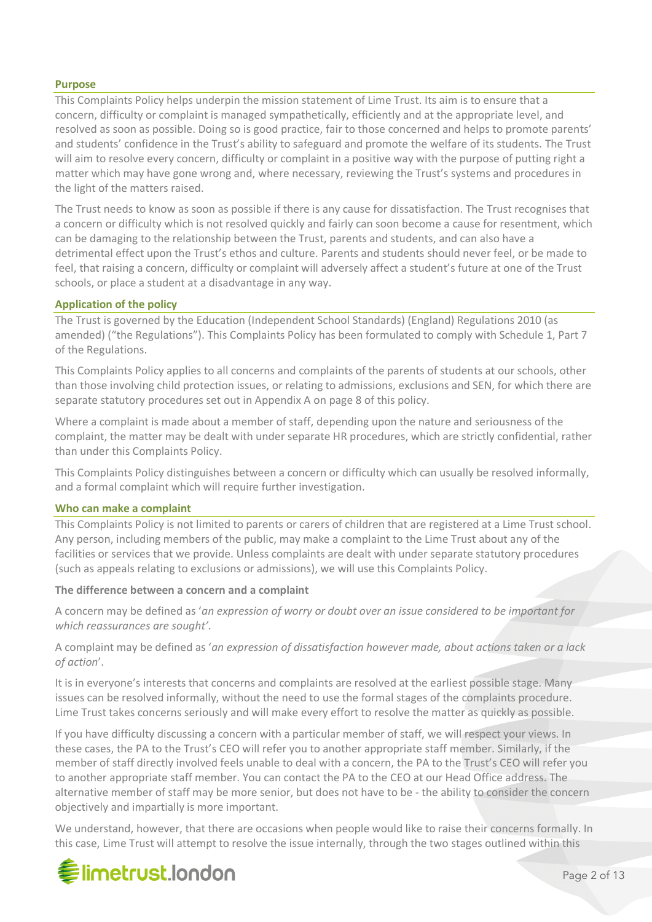### **Purpose**

This Complaints Policy helps underpin the mission statement of Lime Trust. Its aim is to ensure that a concern, difficulty or complaint is managed sympathetically, efficiently and at the appropriate level, and resolved as soon as possible. Doing so is good practice, fair to those concerned and helps to promote parents' and students' confidence in the Trust's ability to safeguard and promote the welfare of its students. The Trust will aim to resolve every concern, difficulty or complaint in a positive way with the purpose of putting right a matter which may have gone wrong and, where necessary, reviewing the Trust's systems and procedures in the light of the matters raised.

The Trust needs to know as soon as possible if there is any cause for dissatisfaction. The Trust recognises that a concern or difficulty which is not resolved quickly and fairly can soon become a cause for resentment, which can be damaging to the relationship between the Trust, parents and students, and can also have a detrimental effect upon the Trust's ethos and culture. Parents and students should never feel, or be made to feel, that raising a concern, difficulty or complaint will adversely affect a student's future at one of the Trust schools, or place a student at a disadvantage in any way.

### **Application of the policy**

The Trust is governed by the Education (Independent School Standards) (England) Regulations 2010 (as amended) ("the Regulations"). This Complaints Policy has been formulated to comply with Schedule 1, Part 7 of the Regulations.

This Complaints Policy applies to all concerns and complaints of the parents of students at our schools, other than those involving child protection issues, or relating to admissions, exclusions and SEN, for which there are separate statutory procedures set out in Appendix A on page 8 of this policy.

Where a complaint is made about a member of staff, depending upon the nature and seriousness of the complaint, the matter may be dealt with under separate HR procedures, which are strictly confidential, rather than under this Complaints Policy.

This Complaints Policy distinguishes between a concern or difficulty which can usually be resolved informally, and a formal complaint which will require further investigation.

### **Who can make a complaint**

This Complaints Policy is not limited to parents or carers of children that are registered at a Lime Trust school. Any person, including members of the public, may make a complaint to the Lime Trust about any of the facilities or services that we provide. Unless complaints are dealt with under separate statutory procedures (such as appeals relating to exclusions or admissions), we will use this Complaints Policy.

### **The difference between a concern and a complaint**

A concern may be defined as '*an expression of worry or doubt over an issue considered to be important for which reassurances are sought'*.

A complaint may be defined as '*an expression of dissatisfaction however made, about actions taken or a lack of action*'.

It is in everyone's interests that concerns and complaints are resolved at the earliest possible stage. Many issues can be resolved informally, without the need to use the formal stages of the complaints procedure. Lime Trust takes concerns seriously and will make every effort to resolve the matter as quickly as possible.

If you have difficulty discussing a concern with a particular member of staff, we will respect your views. In these cases, the PA to the Trust's CEO will refer you to another appropriate staff member. Similarly, if the member of staff directly involved feels unable to deal with a concern, the PA to the Trust's CEO will refer you to another appropriate staff member. You can contact the PA to the CEO at our Head Office address. The alternative member of staff may be more senior, but does not have to be - the ability to consider the concern objectively and impartially is more important.

We understand, however, that there are occasions when people would like to raise their concerns formally. In this case, Lime Trust will attempt to resolve the issue internally, through the two stages outlined within this

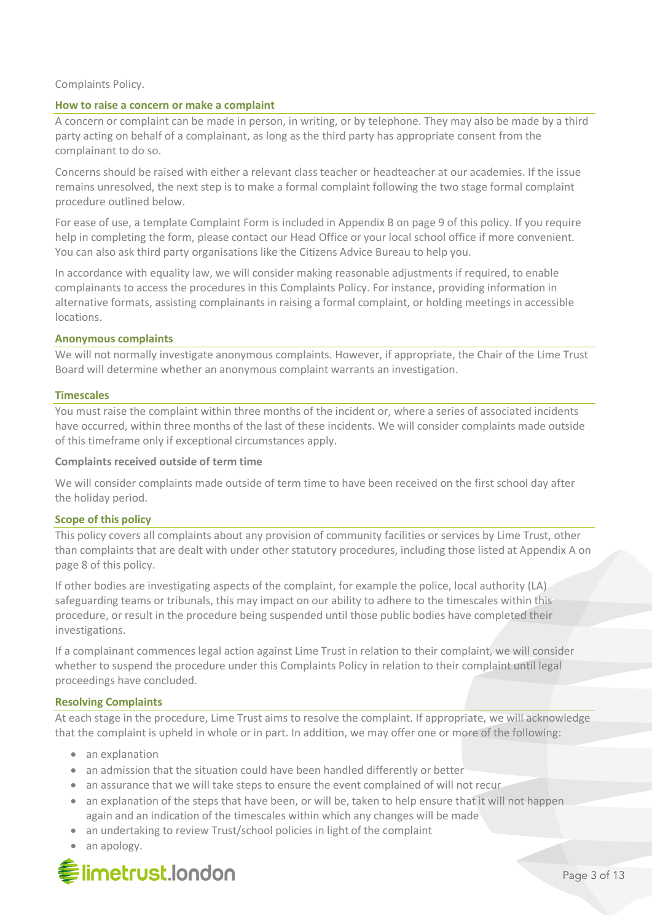### Complaints Policy.

### **How to raise a concern or make a complaint**

A concern or complaint can be made in person, in writing, or by telephone. They may also be made by a third party acting on behalf of a complainant, as long as the third party has appropriate consent from the complainant to do so.

Concerns should be raised with either a relevant class teacher or headteacher at our academies. If the issue remains unresolved, the next step is to make a formal complaint following the two stage formal complaint procedure outlined below.

For ease of use, a template Complaint Form is included in Appendix B on page 9 of this policy. If you require help in completing the form, please contact our Head Office or your local school office if more convenient. You can also ask third party organisations like the Citizens Advice Bureau to help you.

In accordance with equality law, we will consider making reasonable adjustments if required, to enable complainants to access the procedures in this Complaints Policy. For instance, providing information in alternative formats, assisting complainants in raising a formal complaint, or holding meetings in accessible locations.

### **Anonymous complaints**

We will not normally investigate anonymous complaints. However, if appropriate, the Chair of the Lime Trust Board will determine whether an anonymous complaint warrants an investigation.

### **Timescales**

You must raise the complaint within three months of the incident or, where a series of associated incidents have occurred, within three months of the last of these incidents. We will consider complaints made outside of this timeframe only if exceptional circumstances apply.

### **Complaints received outside of term time**

We will consider complaints made outside of term time to have been received on the first school day after the holiday period.

### **Scope of this policy**

This policy covers all complaints about any provision of community facilities or services by Lime Trust, other than complaints that are dealt with under other statutory procedures, including those listed at Appendix A on page 8 of this policy.

If other bodies are investigating aspects of the complaint, for example the police, local authority (LA) safeguarding teams or tribunals, this may impact on our ability to adhere to the timescales within this procedure, or result in the procedure being suspended until those public bodies have completed their investigations.

If a complainant commences legal action against Lime Trust in relation to their complaint, we will consider whether to suspend the procedure under this Complaints Policy in relation to their complaint until legal proceedings have concluded.

### **Resolving Complaints**

At each stage in the procedure, Lime Trust aims to resolve the complaint. If appropriate, we will acknowledge that the complaint is upheld in whole or in part. In addition, we may offer one or more of the following:

- an explanation
- an admission that the situation could have been handled differently or better
- an assurance that we will take steps to ensure the event complained of will not recur
- an explanation of the steps that have been, or will be, taken to help ensure that it will not happen again and an indication of the timescales within which any changes will be made
- an undertaking to review Trust/school policies in light of the complaint
- an apology.

### **●limetrust.london**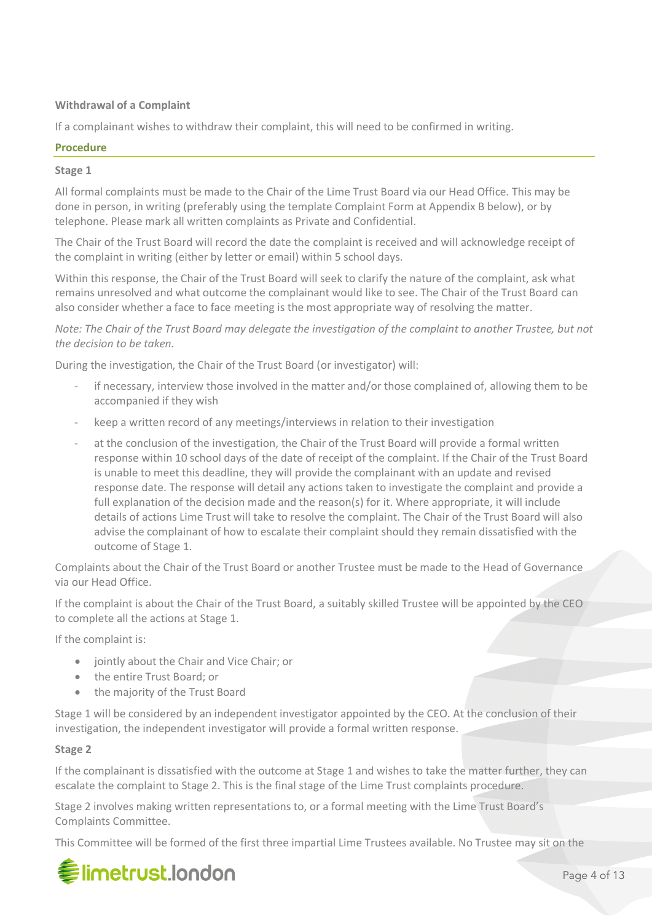### **Withdrawal of a Complaint**

If a complainant wishes to withdraw their complaint, this will need to be confirmed in writing.

### **Procedure**

### **Stage 1**

All formal complaints must be made to the Chair of the Lime Trust Board via our Head Office*.* This may be done in person, in writing (preferably using the template Complaint Form at Appendix B below), or by telephone. Please mark all written complaints as Private and Confidential.

The Chair of the Trust Board will record the date the complaint is received and will acknowledge receipt of the complaint in writing (either by letter or email) within 5 school days.

Within this response, the Chair of the Trust Board will seek to clarify the nature of the complaint, ask what remains unresolved and what outcome the complainant would like to see. The Chair of the Trust Board can also consider whether a face to face meeting is the most appropriate way of resolving the matter.

*Note: The Chair of the Trust Board may delegate the investigation of the complaint to another Trustee, but not the decision to be taken.*

During the investigation, the Chair of the Trust Board (or investigator) will:

- if necessary, interview those involved in the matter and/or those complained of, allowing them to be accompanied if they wish
- keep a written record of any meetings/interviews in relation to their investigation
- at the conclusion of the investigation, the Chair of the Trust Board will provide a formal written response within 10 school days of the date of receipt of the complaint. If the Chair of the Trust Board is unable to meet this deadline, they will provide the complainant with an update and revised response date. The response will detail any actions taken to investigate the complaint and provide a full explanation of the decision made and the reason(s) for it. Where appropriate, it will include details of actions Lime Trust will take to resolve the complaint. The Chair of the Trust Board will also advise the complainant of how to escalate their complaint should they remain dissatisfied with the outcome of Stage 1.

Complaints about the Chair of the Trust Board or another Trustee must be made to the Head of Governance via our Head Office.

If the complaint is about the Chair of the Trust Board, a suitably skilled Trustee will be appointed by the CEO to complete all the actions at Stage 1.

If the complaint is:

- jointly about the Chair and Vice Chair; or
- the entire Trust Board; or
- the majority of the Trust Board

Stage 1 will be considered by an independent investigator appointed by the CEO. At the conclusion of their investigation, the independent investigator will provide a formal written response.

### **Stage 2**

If the complainant is dissatisfied with the outcome at Stage 1 and wishes to take the matter further, they can escalate the complaint to Stage 2. This is the final stage of the Lime Trust complaints procedure.

Stage 2 involves making written representations to, or a formal meeting with the Lime Trust Board's Complaints Committee.

This Committee will be formed of the first three impartial Lime Trustees available. No Trustee may sit on the

## **《imetrust.london**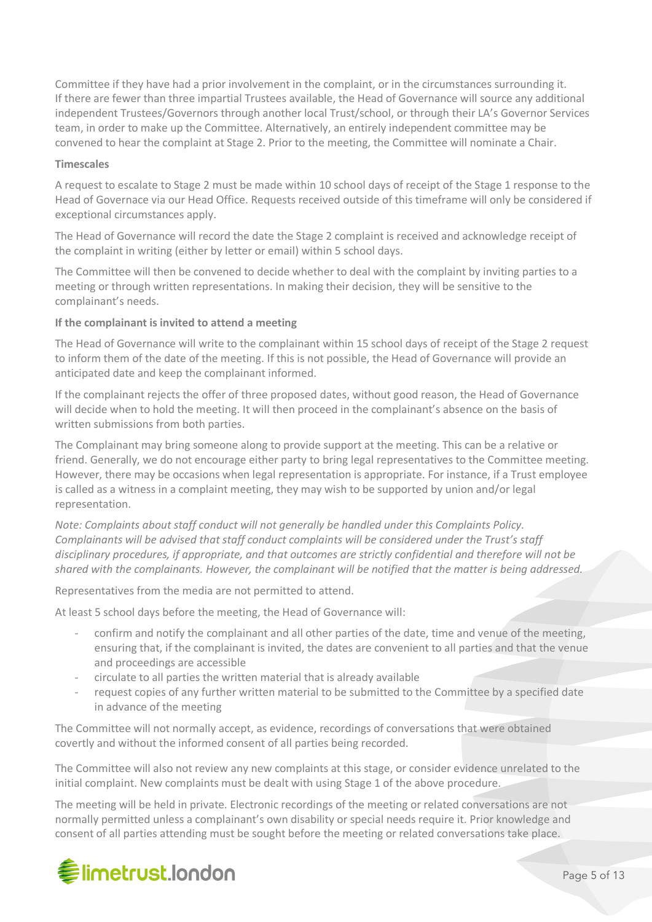Committee if they have had a prior involvement in the complaint, or in the circumstances surrounding it. If there are fewer than three impartial Trustees available, the Head of Governance will source any additional independent Trustees/Governors through another local Trust/school, or through their LA's Governor Services team, in order to make up the Committee. Alternatively, an entirely independent committee may be convened to hear the complaint at Stage 2. Prior to the meeting, the Committee will nominate a Chair.

### **Timescales**

A request to escalate to Stage 2 must be made within 10 school days of receipt of the Stage 1 response to the Head of Governace via our Head Office. Requests received outside of this timeframe will only be considered if exceptional circumstances apply.

The Head of Governance will record the date the Stage 2 complaint is received and acknowledge receipt of the complaint in writing (either by letter or email) within 5 school days.

The Committee will then be convened to decide whether to deal with the complaint by inviting parties to a meeting or through written representations. In making their decision, they will be sensitive to the complainant's needs.

### **If the complainant is invited to attend a meeting**

The Head of Governance will write to the complainant within 15 school days of receipt of the Stage 2 request to inform them of the date of the meeting. If this is not possible, the Head of Governance will provide an anticipated date and keep the complainant informed.

If the complainant rejects the offer of three proposed dates, without good reason, the Head of Governance will decide when to hold the meeting. It will then proceed in the complainant's absence on the basis of written submissions from both parties.

The Complainant may bring someone along to provide support at the meeting. This can be a relative or friend. Generally, we do not encourage either party to bring legal representatives to the Committee meeting. However, there may be occasions when legal representation is appropriate. For instance, if a Trust employee is called as a witness in a complaint meeting, they may wish to be supported by union and/or legal representation.

*Note: Complaints about staff conduct will not generally be handled under this Complaints Policy. Complainants will be advised that staff conduct complaints will be considered under the Trust's staff disciplinary procedures, if appropriate, and that outcomes are strictly confidential and therefore will not be shared with the complainants. However, the complainant will be notified that the matter is being addressed.*

Representatives from the media are not permitted to attend.

At least 5 school days before the meeting, the Head of Governance will:

- confirm and notify the complainant and all other parties of the date, time and venue of the meeting, ensuring that, if the complainant is invited, the dates are convenient to all parties and that the venue and proceedings are accessible
- circulate to all parties the written material that is already available
- request copies of any further written material to be submitted to the Committee by a specified date in advance of the meeting

The Committee will not normally accept, as evidence, recordings of conversations that were obtained covertly and without the informed consent of all parties being recorded.

The Committee will also not review any new complaints at this stage, or consider evidence unrelated to the initial complaint. New complaints must be dealt with using Stage 1 of the above procedure.

The meeting will be held in private. Electronic recordings of the meeting or related conversations are not normally permitted unless a complainant's own disability or special needs require it. Prior knowledge and consent of all parties attending must be sought before the meeting or related conversations take place.

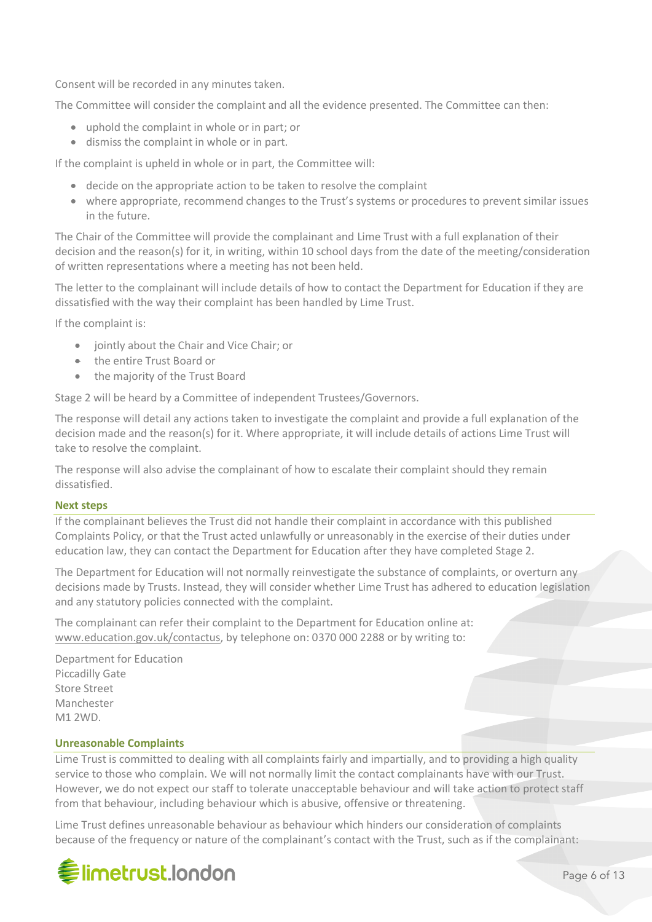Consent will be recorded in any minutes taken.

The Committee will consider the complaint and all the evidence presented. The Committee can then:

- uphold the complaint in whole or in part; or
- dismiss the complaint in whole or in part.

If the complaint is upheld in whole or in part, the Committee will:

- decide on the appropriate action to be taken to resolve the complaint
- where appropriate, recommend changes to the Trust's systems or procedures to prevent similar issues in the future.

The Chair of the Committee will provide the complainant and Lime Trust with a full explanation of their decision and the reason(s) for it, in writing, within 10 school days from the date of the meeting/consideration of written representations where a meeting has not been held.

The letter to the complainant will include details of how to contact the Department for Education if they are dissatisfied with the way their complaint has been handled by Lime Trust.

If the complaint is:

- jointly about the Chair and Vice Chair; or
- the entire Trust Board or
- the majority of the Trust Board

Stage 2 will be heard by a Committee of independent Trustees/Governors.

The response will detail any actions taken to investigate the complaint and provide a full explanation of the decision made and the reason(s) for it. Where appropriate, it will include details of actions Lime Trust will take to resolve the complaint.

The response will also advise the complainant of how to escalate their complaint should they remain dissatisfied.

### **Next steps**

If the complainant believes the Trust did not handle their complaint in accordance with this published Complaints Policy, or that the Trust acted unlawfully or unreasonably in the exercise of their duties under education law, they can contact the Department for Education after they have completed Stage 2.

The Department for Education will not normally reinvestigate the substance of complaints, or overturn any decisions made by Trusts. Instead, they will consider whether Lime Trust has adhered to education legislation and any statutory policies connected with the complaint.

The complainant can refer their complaint to the Department for Education online at: www.education.gov.uk/contactus, by telephone on: 0370 000 2288 or by writing to:

Department for Education Piccadilly Gate Store Street Manchester M1 2WD.

### **Unreasonable Complaints**

Lime Trust is committed to dealing with all complaints fairly and impartially, and to providing a high quality service to those who complain. We will not normally limit the contact complainants have with our Trust. However, we do not expect our staff to tolerate unacceptable behaviour and will take action to protect staff from that behaviour, including behaviour which is abusive, offensive or threatening.

Lime Trust defines unreasonable behaviour as behaviour which hinders our consideration of complaints because of the frequency or nature of the complainant's contact with the Trust, such as if the complainant:

## **《Selimetrust.london**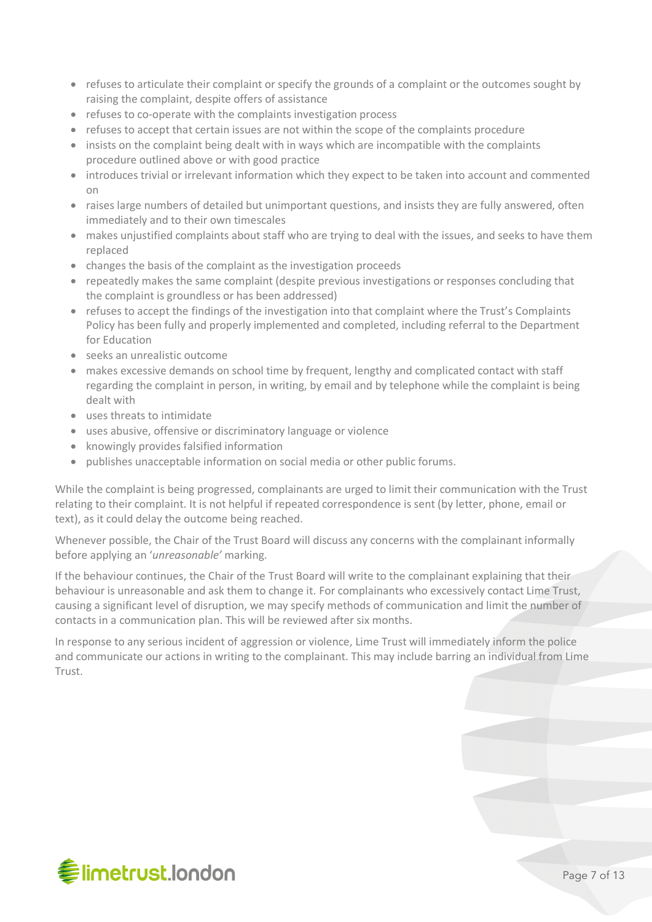- refuses to articulate their complaint or specify the grounds of a complaint or the outcomes sought by raising the complaint, despite offers of assistance
- refuses to co-operate with the complaints investigation process
- refuses to accept that certain issues are not within the scope of the complaints procedure
- insists on the complaint being dealt with in ways which are incompatible with the complaints procedure outlined above or with good practice
- introduces trivial or irrelevant information which they expect to be taken into account and commented on
- raises large numbers of detailed but unimportant questions, and insists they are fully answered, often immediately and to their own timescales
- makes unjustified complaints about staff who are trying to deal with the issues, and seeks to have them replaced
- changes the basis of the complaint as the investigation proceeds
- repeatedly makes the same complaint (despite previous investigations or responses concluding that the complaint is groundless or has been addressed)
- refuses to accept the findings of the investigation into that complaint where the Trust's Complaints Policy has been fully and properly implemented and completed, including referral to the Department for Education
- seeks an unrealistic outcome
- makes excessive demands on school time by frequent, lengthy and complicated contact with staff regarding the complaint in person, in writing, by email and by telephone while the complaint is being dealt with
- uses threats to intimidate
- uses abusive, offensive or discriminatory language or violence
- knowingly provides falsified information
- publishes unacceptable information on social media or other public forums.

While the complaint is being progressed, complainants are urged to limit their communication with the Trust relating to their complaint. It is not helpful if repeated correspondence is sent (by letter, phone, email or text), as it could delay the outcome being reached.

Whenever possible, the Chair of the Trust Board will discuss any concerns with the complainant informally before applying an '*unreasonable'* marking.

If the behaviour continues, the Chair of the Trust Board will write to the complainant explaining that their behaviour is unreasonable and ask them to change it. For complainants who excessively contact Lime Trust, causing a significant level of disruption, we may specify methods of communication and limit the number of contacts in a communication plan. This will be reviewed after six months.

In response to any serious incident of aggression or violence, Lime Trust will immediately inform the police and communicate our actions in writing to the complainant. This may include barring an individual from Lime Trust.

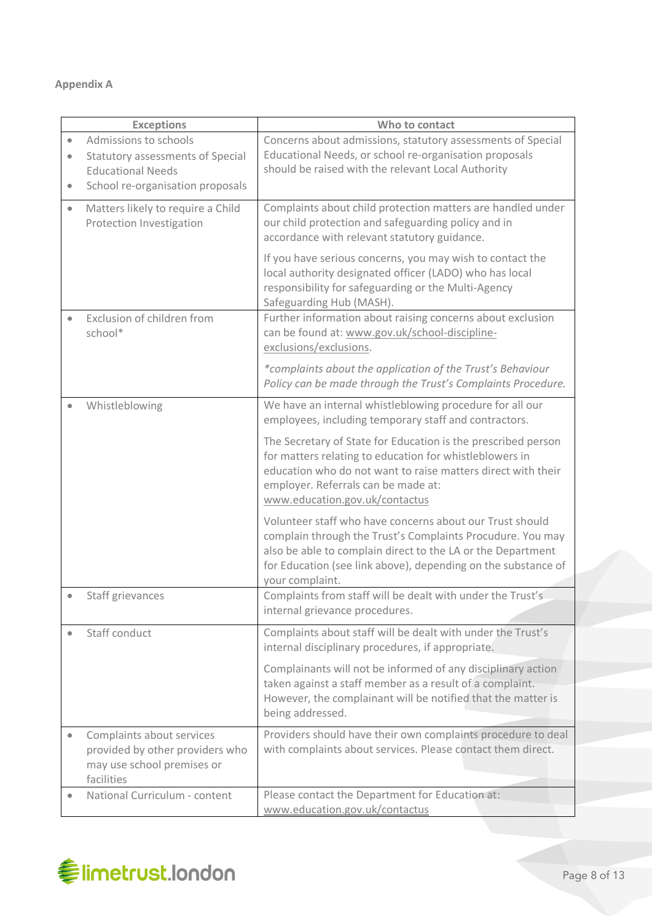### **Appendix A**

| <b>Exceptions</b> |                                                                                                          | Who to contact                                                                                                                                                                                                                                                            |
|-------------------|----------------------------------------------------------------------------------------------------------|---------------------------------------------------------------------------------------------------------------------------------------------------------------------------------------------------------------------------------------------------------------------------|
| $\bullet$         | Admissions to schools                                                                                    | Concerns about admissions, statutory assessments of Special                                                                                                                                                                                                               |
| $\bullet$         | <b>Statutory assessments of Special</b>                                                                  | Educational Needs, or school re-organisation proposals                                                                                                                                                                                                                    |
|                   | <b>Educational Needs</b>                                                                                 | should be raised with the relevant Local Authority                                                                                                                                                                                                                        |
| $\bullet$         | School re-organisation proposals                                                                         |                                                                                                                                                                                                                                                                           |
| $\bullet$         | Matters likely to require a Child<br>Protection Investigation                                            | Complaints about child protection matters are handled under<br>our child protection and safeguarding policy and in<br>accordance with relevant statutory guidance.                                                                                                        |
|                   |                                                                                                          | If you have serious concerns, you may wish to contact the<br>local authority designated officer (LADO) who has local<br>responsibility for safeguarding or the Multi-Agency<br>Safeguarding Hub (MASH).                                                                   |
| $\bullet$         | Exclusion of children from<br>school*                                                                    | Further information about raising concerns about exclusion<br>can be found at: www.gov.uk/school-discipline-<br>exclusions/exclusions.                                                                                                                                    |
|                   |                                                                                                          | *complaints about the application of the Trust's Behaviour<br>Policy can be made through the Trust's Complaints Procedure.                                                                                                                                                |
|                   | Whistleblowing                                                                                           | We have an internal whistleblowing procedure for all our<br>employees, including temporary staff and contractors.                                                                                                                                                         |
|                   |                                                                                                          | The Secretary of State for Education is the prescribed person<br>for matters relating to education for whistleblowers in<br>education who do not want to raise matters direct with their<br>employer. Referrals can be made at:<br>www.education.gov.uk/contactus         |
|                   |                                                                                                          | Volunteer staff who have concerns about our Trust should<br>complain through the Trust's Complaints Procudure. You may<br>also be able to complain direct to the LA or the Department<br>for Education (see link above), depending on the substance of<br>your complaint. |
| $\bullet$         | Staff grievances                                                                                         | Complaints from staff will be dealt with under the Trust's<br>internal grievance procedures.                                                                                                                                                                              |
|                   | Staff conduct                                                                                            | Complaints about staff will be dealt with under the Trust's<br>internal disciplinary procedures, if appropriate.                                                                                                                                                          |
|                   |                                                                                                          | Complainants will not be informed of any disciplinary action<br>taken against a staff member as a result of a complaint.<br>However, the complainant will be notified that the matter is<br>being addressed.                                                              |
|                   | Complaints about services<br>provided by other providers who<br>may use school premises or<br>facilities | Providers should have their own complaints procedure to deal<br>with complaints about services. Please contact them direct.                                                                                                                                               |
|                   | National Curriculum - content                                                                            | Please contact the Department for Education at:<br>www.education.gov.uk/contactus                                                                                                                                                                                         |

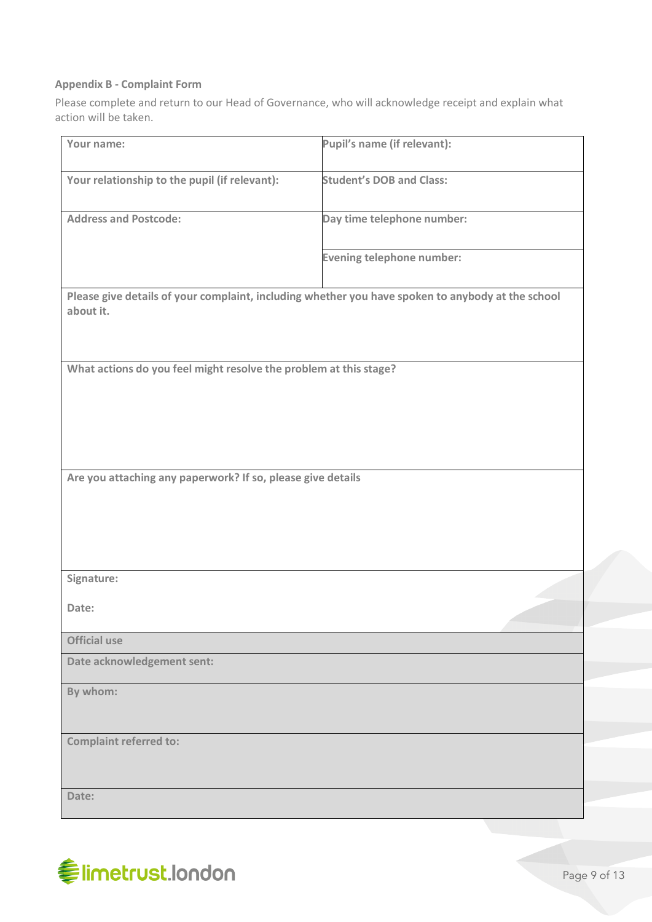### **Appendix B - Complaint Form**

Please complete and return to our Head of Governance, who will acknowledge receipt and explain what action will be taken.

| Your name:                                                                                                     | Pupil's name (if relevant):      |  |  |  |
|----------------------------------------------------------------------------------------------------------------|----------------------------------|--|--|--|
| Your relationship to the pupil (if relevant):                                                                  | <b>Student's DOB and Class:</b>  |  |  |  |
| <b>Address and Postcode:</b>                                                                                   | Day time telephone number:       |  |  |  |
|                                                                                                                | <b>Evening telephone number:</b> |  |  |  |
| Please give details of your complaint, including whether you have spoken to anybody at the school<br>about it. |                                  |  |  |  |
| What actions do you feel might resolve the problem at this stage?                                              |                                  |  |  |  |
|                                                                                                                |                                  |  |  |  |
|                                                                                                                |                                  |  |  |  |
| Are you attaching any paperwork? If so, please give details                                                    |                                  |  |  |  |
|                                                                                                                |                                  |  |  |  |
|                                                                                                                |                                  |  |  |  |
|                                                                                                                |                                  |  |  |  |
| Signature:                                                                                                     |                                  |  |  |  |
| Date:                                                                                                          |                                  |  |  |  |
| <b>Official use</b>                                                                                            |                                  |  |  |  |
| Date acknowledgement sent:                                                                                     |                                  |  |  |  |
| By whom:                                                                                                       |                                  |  |  |  |
| <b>Complaint referred to:</b>                                                                                  |                                  |  |  |  |
|                                                                                                                |                                  |  |  |  |
| Date:                                                                                                          |                                  |  |  |  |

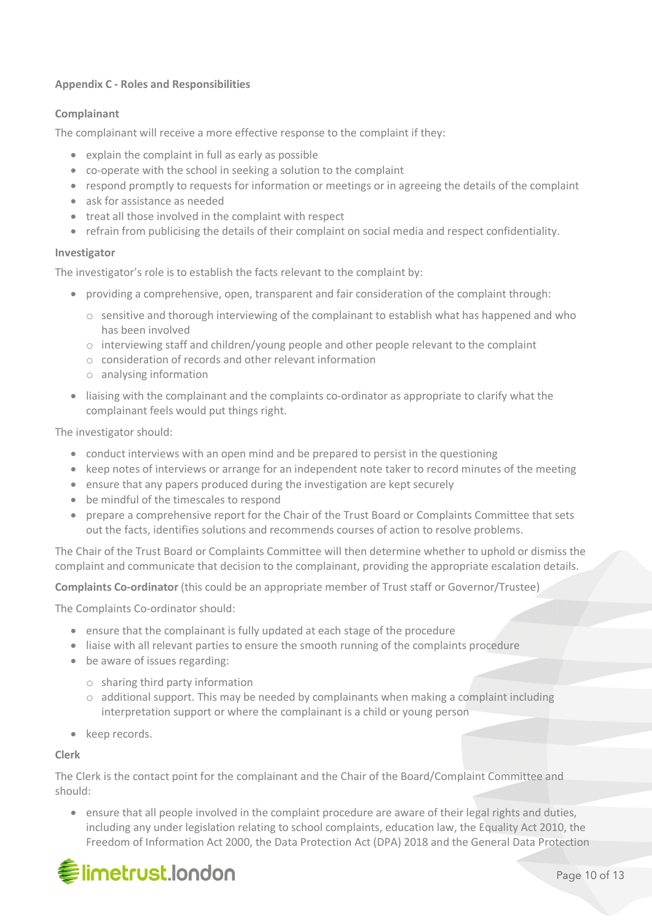### **Appendix C - Roles and Responsibilities**

### **Complainant**

The complainant will receive a more effective response to the complaint if they:

- explain the complaint in full as early as possible
- co-operate with the school in seeking a solution to the complaint
- respond promptly to requests for information or meetings or in agreeing the details of the complaint
- ask for assistance as needed
- treat all those involved in the complaint with respect
- refrain from publicising the details of their complaint on social media and respect confidentiality.

### **Investigator**

The investigator's role is to establish the facts relevant to the complaint by:

- providing a comprehensive, open, transparent and fair consideration of the complaint through:
	- o sensitive and thorough interviewing of the complainant to establish what has happened and who has been involved
	- $\circ$  interviewing staff and children/young people and other people relevant to the complaint
	- o consideration of records and other relevant information
	- o analysing information
- liaising with the complainant and the complaints co-ordinator as appropriate to clarify what the complainant feels would put things right.

The investigator should:

- conduct interviews with an open mind and be prepared to persist in the questioning
- keep notes of interviews or arrange for an independent note taker to record minutes of the meeting
- ensure that any papers produced during the investigation are kept securely
- be mindful of the timescales to respond
- prepare a comprehensive report for the Chair of the Trust Board or Complaints Committee that sets out the facts, identifies solutions and recommends courses of action to resolve problems.

The Chair of the Trust Board or Complaints Committee will then determine whether to uphold or dismiss the complaint and communicate that decision to the complainant, providing the appropriate escalation details.

**Complaints Co-ordinator** (this could be an appropriate member of Trust staff or Governor/Trustee)

The Complaints Co-ordinator should:

- ensure that the complainant is fully updated at each stage of the procedure
- liaise with all relevant parties to ensure the smooth running of the complaints procedure
- be aware of issues regarding:
	- o sharing third party information
	- $\circ$  additional support. This may be needed by complainants when making a complaint including interpretation support or where the complainant is a child or young person
- keep records.

### **Clerk**

The Clerk is the contact point for the complainant and the Chair of the Board/Complaint Committee and should:

• ensure that all people involved in the complaint procedure are aware of their legal rights and duties, including any under legislation relating to school complaints, education law, the Equality Act 2010, the Freedom of Information Act 2000, the Data Protection Act (DPA) 2018 and the General Data Protection

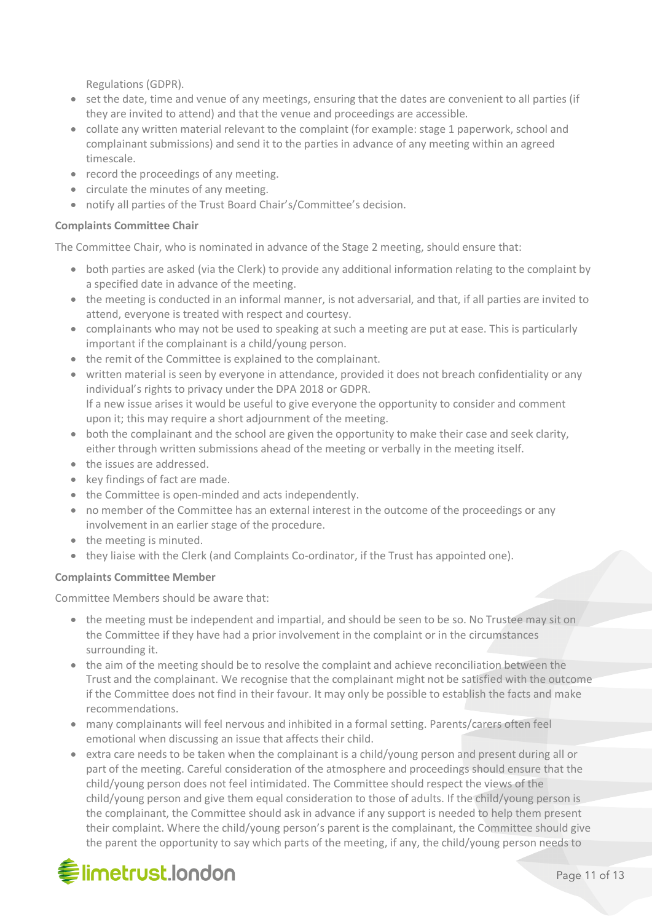Regulations (GDPR).

- set the date, time and venue of any meetings, ensuring that the dates are convenient to all parties (if they are invited to attend) and that the venue and proceedings are accessible.
- collate any written material relevant to the complaint (for example: stage 1 paperwork, school and complainant submissions) and send it to the parties in advance of any meeting within an agreed timescale.
- record the proceedings of any meeting.
- circulate the minutes of any meeting.
- notify all parties of the Trust Board Chair's/Committee's decision.

### **Complaints Committee Chair**

The Committee Chair, who is nominated in advance of the Stage 2 meeting, should ensure that:

- both parties are asked (via the Clerk) to provide any additional information relating to the complaint by a specified date in advance of the meeting.
- the meeting is conducted in an informal manner, is not adversarial, and that, if all parties are invited to attend, everyone is treated with respect and courtesy.
- complainants who may not be used to speaking at such a meeting are put at ease. This is particularly important if the complainant is a child/young person.
- the remit of the Committee is explained to the complainant.
- written material is seen by everyone in attendance, provided it does not breach confidentiality or any individual's rights to privacy under the DPA 2018 or GDPR. If a new issue arises it would be useful to give everyone the opportunity to consider and comment upon it; this may require a short adjournment of the meeting.
- both the complainant and the school are given the opportunity to make their case and seek clarity, either through written submissions ahead of the meeting or verbally in the meeting itself.
- the issues are addressed.
- key findings of fact are made.
- the Committee is open-minded and acts independently.
- no member of the Committee has an external interest in the outcome of the proceedings or any involvement in an earlier stage of the procedure.
- the meeting is minuted.
- they liaise with the Clerk (and Complaints Co-ordinator, if the Trust has appointed one).

### **Complaints Committee Member**

Committee Members should be aware that:

- the meeting must be independent and impartial, and should be seen to be so. No Trustee may sit on the Committee if they have had a prior involvement in the complaint or in the circumstances surrounding it.
- the aim of the meeting should be to resolve the complaint and achieve reconciliation between the Trust and the complainant. We recognise that the complainant might not be satisfied with the outcome if the Committee does not find in their favour. It may only be possible to establish the facts and make recommendations.
- many complainants will feel nervous and inhibited in a formal setting. Parents/carers often feel emotional when discussing an issue that affects their child.
- extra care needs to be taken when the complainant is a child/young person and present during all or part of the meeting. Careful consideration of the atmosphere and proceedings should ensure that the child/young person does not feel intimidated. The Committee should respect the views of the child/young person and give them equal consideration to those of adults. If the child/young person is the complainant, the Committee should ask in advance if any support is needed to help them present their complaint. Where the child/young person's parent is the complainant, the Committee should give the parent the opportunity to say which parts of the meeting, if any, the child/young person needs to

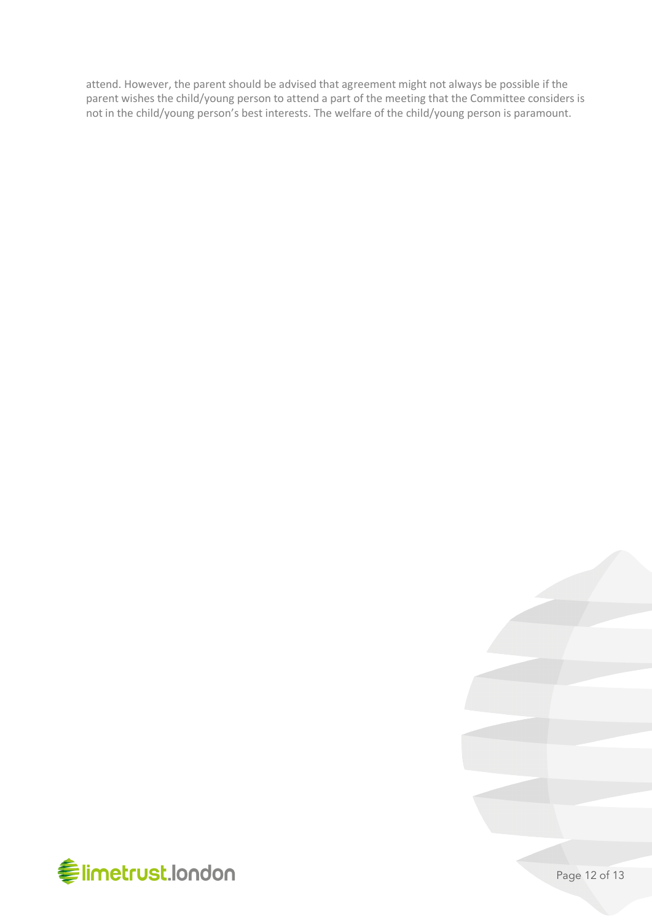attend. However, the parent should be advised that agreement might not always be possible if the parent wishes the child/young person to attend a part of the meeting that the Committee considers is not in the child/young person's best interests. The welfare of the child/young person is paramount.



Page 12 of 13